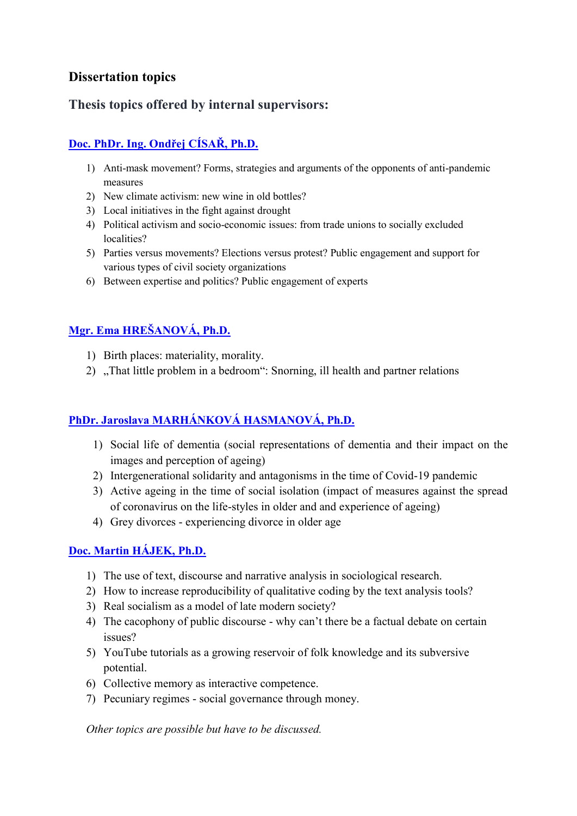## **Dissertation topics**

## **Thesis topics offered by internal supervisors:**

# **[Doc. PhDr. Ing. Ondřej](https://fsv.cuni.cz/contacts/people/18218457) CÍSAŘ, Ph.D.**

- 1) Anti-mask movement? Forms, strategies and arguments of the opponents of anti-pandemic measures
- 2) New climate activism: new wine in old bottles?
- 3) Local initiatives in the fight against drought
- 4) Political activism and socio-economic issues: from trade unions to socially excluded localities?
- 5) Parties versus movements? Elections versus protest? Public engagement and support for various types of civil society organizations
- 6) Between expertise and politics? Public engagement of experts

# **[Mgr. Ema HREŠANOVÁ, Ph.D.](https://fsv.cuni.cz/contacts/people/46404511)**

- 1) Birth places: materiality, morality.
- 2) "That little problem in a bedroom": Snorning, ill health and partner relations

### **[PhDr. Jaroslava MARHÁNKOVÁ HASMANOVÁ, Ph.D.](https://fsv.cuni.cz/contacts/people/52815911)**

- 1) Social life of dementia (social representations of dementia and their impact on the images and perception of ageing)
- 2) Intergenerational solidarity and antagonisms in the time of Covid-19 pandemic
- 3) Active ageing in the time of social isolation (impact of measures against the spread of coronavirus on the life-styles in older and and experience of ageing)
- 4) Grey divorces experiencing divorce in older age

#### **[Doc. Martin H](https://fsv.cuni.cz/contacts/people/14960739)ÁJEK, Ph.D.**

- 1) The use of text, discourse and narrative analysis in sociological research.
- 2) How to increase reproducibility of qualitative coding by the text analysis tools?
- 3) Real socialism as a model of late modern society?
- 4) The cacophony of public discourse why can't there be a factual debate on certain issues?
- 5) YouTube tutorials as a growing reservoir of folk knowledge and its subversive potential.
- 6) Collective memory as interactive competence.
- 7) Pecuniary regimes social governance through money.

*Other topics are possible but have to be discussed.*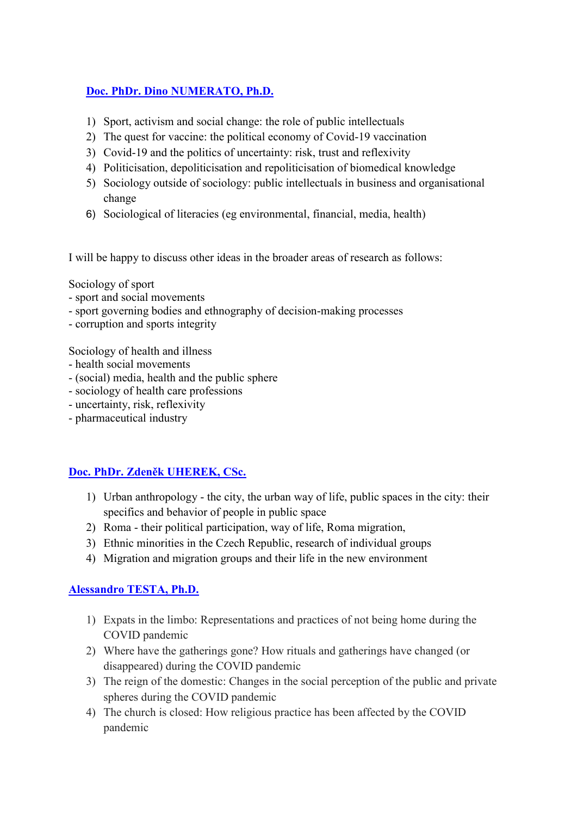#### **[Doc. PhDr. Dino NUMERATO, Ph.D.](https://fsv.cuni.cz/contacts/people/49010985)**

- 1) Sport, activism and social change: the role of public intellectuals
- 2) The quest for vaccine: the political economy of Covid-19 vaccination
- 3) Covid-19 and the politics of uncertainty: risk, trust and reflexivity
- 4) Politicisation, depoliticisation and repoliticisation of biomedical knowledge
- 5) Sociology outside of sociology: public intellectuals in business and organisational change
- 6) Sociological of literacies (eg environmental, financial, media, health)

I will be happy to discuss other ideas in the broader areas of research as follows:

Sociology of sport

- sport and social movements
- sport governing bodies and ethnography of decision-making processes
- corruption and sports integrity

Sociology of health and illness

- health social movements
- (social) media, health and the public sphere
- sociology of health care professions
- uncertainty, risk, reflexivity
- pharmaceutical industry

#### **[Doc. PhDr. Zdeněk UHEREK, CSc.](https://fsv.cuni.cz/contacts/people/67877290)**

- 1) Urban anthropology the city, the urban way of life, public spaces in the city: their specifics and behavior of people in public space
- 2) Roma their political participation, way of life, Roma migration,
- 3) Ethnic minorities in the Czech Republic, research of individual groups
- 4) Migration and migration groups and their life in the new environment

#### **[Alessandro TESTA,](https://fsv.cuni.cz/contacts/people/75334484) Ph.D.**

- 1) Expats in the limbo: Representations and practices of not being home during the COVID pandemic
- 2) Where have the gatherings gone? How rituals and gatherings have changed (or disappeared) during the COVID pandemic
- 3) The reign of the domestic: Changes in the social perception of the public and private spheres during the COVID pandemic
- 4) The church is closed: How religious practice has been affected by the COVID pandemic